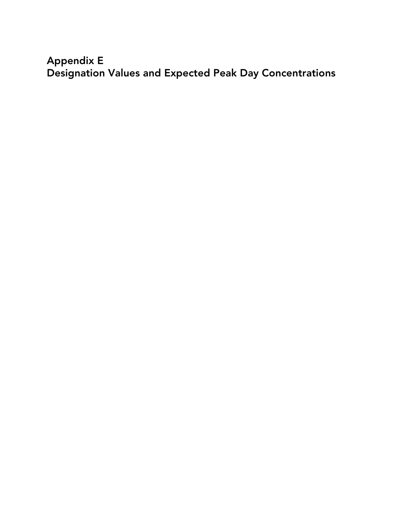## **Appendix E Designation Values and Expected Peak Day Concentrations**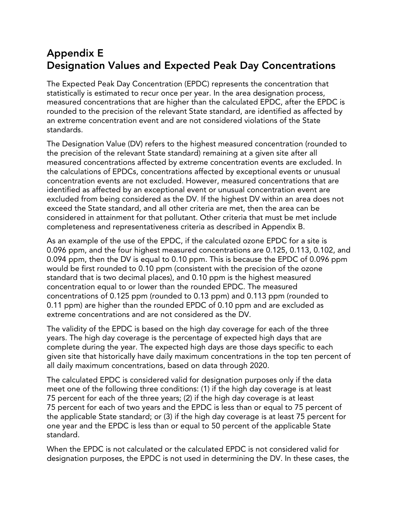## **Appendix E Designation Values and Expected Peak Day Concentrations**

The Expected Peak Day Concentration (EPDC) represents the concentration that statistically is estimated to recur once per year. In the area designation process, measured concentrations that are higher than the calculated EPDC, after the EPDC is rounded to the precision of the relevant State standard, are identified as affected by an extreme concentration event and are not considered violations of the State standards.

The Designation Value (DV) refers to the highest measured concentration (rounded to the precision of the relevant State standard) remaining at a given site after all measured concentrations affected by extreme concentration events are excluded. In the calculations of EPDCs, concentrations affected by exceptional events or unusual concentration events are not excluded. However, measured concentrations that are identified as affected by an exceptional event or unusual concentration event are excluded from being considered as the DV. If the highest DV within an area does not exceed the State standard, and all other criteria are met, then the area can be considered in attainment for that pollutant. Other criteria that must be met include completeness and representativeness criteria as described in Appendix B.

As an example of the use of the EPDC, if the calculated ozone EPDC for a site is 0.096 ppm, and the four highest measured concentrations are 0.125, 0.113, 0.102, and 0.094 ppm, then the DV is equal to 0.10 ppm. This is because the EPDC of 0.096 ppm would be first rounded to 0.10 ppm (consistent with the precision of the ozone standard that is two decimal places), and 0.10 ppm is the highest measured concentration equal to or lower than the rounded EPDC. The measured concentrations of 0.125 ppm (rounded to 0.13 ppm) and 0.113 ppm (rounded to 0.11 ppm) are higher than the rounded EPDC of 0.10 ppm and are excluded as extreme concentrations and are not considered as the DV.

The validity of the EPDC is based on the high day coverage for each of the three years. The high day coverage is the percentage of expected high days that are complete during the year. The expected high days are those days specific to each given site that historically have daily maximum concentrations in the top ten percent of all daily maximum concentrations, based on data through 2020.

The calculated EPDC is considered valid for designation purposes only if the data meet one of the following three conditions: (1) if the high day coverage is at least 75 percent for each of the three years; (2) if the high day coverage is at least 75 percent for each of two years and the EPDC is less than or equal to 75 percent of the applicable State standard; or (3) if the high day coverage is at least 75 percent for one year and the EPDC is less than or equal to 50 percent of the applicable State standard.

When the EPDC is not calculated or the calculated EPDC is not considered valid for designation purposes, the EPDC is not used in determining the DV. In these cases, the